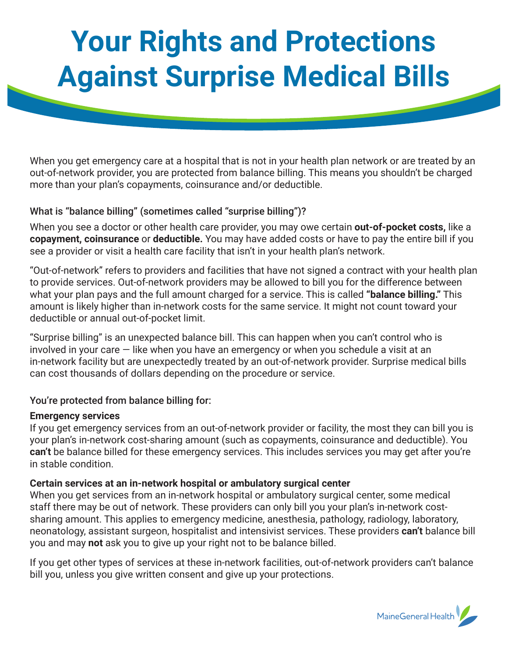# **Your Rights and Protections Against Surprise Medical Bills**

When you get emergency care at a hospital that is not in your health plan network or are treated by an out-of-network provider, you are protected from balance billing. This means you shouldn't be charged more than your plan's copayments, coinsurance and/or deductible.

## What is "balance billing" (sometimes called "surprise billing")?

When you see a doctor or other health care provider, you may owe certain **out-of-pocket costs,** like a **copayment, coinsurance** or **deductible.** You may have added costs or have to pay the entire bill if you see a provider or visit a health care facility that isn't in your health plan's network.

"Out-of-network" refers to providers and facilities that have not signed a contract with your health plan to provide services. Out-of-network providers may be allowed to bill you for the difference between what your plan pays and the full amount charged for a service. This is called **"balance billing."** This amount is likely higher than in-network costs for the same service. It might not count toward your deductible or annual out-of-pocket limit.

"Surprise billing" is an unexpected balance bill. This can happen when you can't control who is involved in your care  $-$  like when you have an emergency or when you schedule a visit at an in-network facility but are unexpectedly treated by an out-of-network provider. Surprise medical bills can cost thousands of dollars depending on the procedure or service.

## You're protected from balance billing for:

#### **Emergency services**

If you get emergency services from an out-of-network provider or facility, the most they can bill you is your plan's in-network cost-sharing amount (such as copayments, coinsurance and deductible). You **can't** be balance billed for these emergency services. This includes services you may get after you're in stable condition.

## **Certain services at an in-network hospital or ambulatory surgical center**

When you get services from an in-network hospital or ambulatory surgical center, some medical staff there may be out of network. These providers can only bill you your plan's in-network costsharing amount. This applies to emergency medicine, anesthesia, pathology, radiology, laboratory, neonatology, assistant surgeon, hospitalist and intensivist services. These providers **can't** balance bill you and may **not** ask you to give up your right not to be balance billed.

If you get other types of services at these in-network facilities, out-of-network providers can't balance bill you, unless you give written consent and give up your protections.